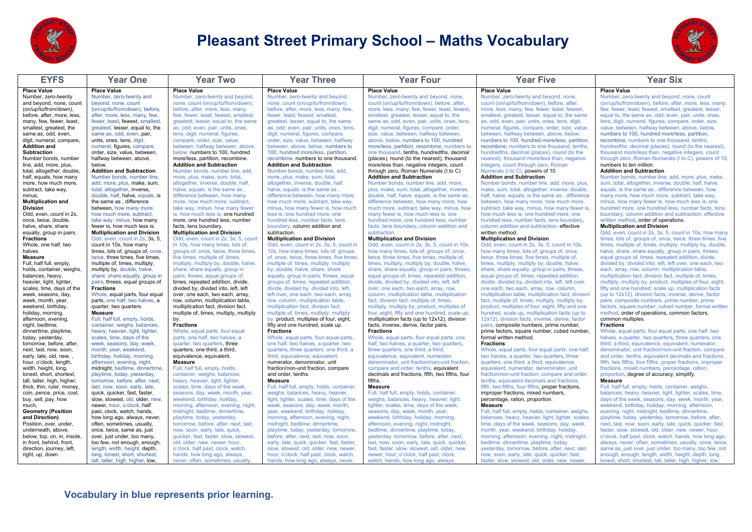

# **Pleasant Street Primary School – Maths Vocabulary**



| <b>EYFS</b>                                             | <b>Year One</b>                                                      | <b>Year Two</b>                                                            | <b>Year Three</b>                                                                   | <b>Year Four</b>                                                                           | <b>Year Five</b>                                                                          | <b>Year Six</b>                                                                                                        |
|---------------------------------------------------------|----------------------------------------------------------------------|----------------------------------------------------------------------------|-------------------------------------------------------------------------------------|--------------------------------------------------------------------------------------------|-------------------------------------------------------------------------------------------|------------------------------------------------------------------------------------------------------------------------|
| <b>Place Value</b>                                      | <b>Place Value</b>                                                   | <b>Place Value</b>                                                         | <b>Place Value</b>                                                                  | <b>Place Value</b>                                                                         | <b>Place Value</b>                                                                        | <b>Place Value</b>                                                                                                     |
| Number, zero-twenty                                     | Number, zero-twenty and                                              | Number, zero-twenty and beyond,                                            | Number, zero-twenty and beyond,                                                     | Number, zero-twenty and beyond, none,                                                      | Number, zero-twenty and beyond, none,                                                     | Number, zero-twenty and beyond, none, count                                                                            |
| and beyond, none, count                                 | beyond, none, count                                                  | none, count (on/up/to/from/down),                                          | none, count (on/up/to/from/down),                                                   | count (on/up/to/from/down), before, after,                                                 | count (on/up/to/from/down), before, after,                                                | (on/up/to/from/down), before, after, more, less, many,                                                                 |
| (on/up/to/from/down).                                   | (on/up/to/from/down), before.                                        | before, after, more, less, many.                                           | before, after, more, less, many, few.                                               | more, less, many, few, fewer, least, fewest,                                               | more, less, many, few, fewer, least, fewest,                                              | few, fewer, least, fewest, smallest, greatest, lesser,                                                                 |
| before, after, more, less,                              | after, more, less, many, few,                                        | few, fewer, least, fewest, smallest,                                       | fewer, least, fewest, smallest,                                                     | smallest, greatest, lesser, equal to, the                                                  | smallest, greatest, lesser, equal to, the same                                            | equal to, the same as, odd, even, pair, units, ones,                                                                   |
| many, few, fewer, least,                                | fewer, least, fewest, smallest,                                      | greatest, lesser, equal to, the same                                       | greatest, lesser, equal to, the same                                                | same as, odd, even, pair, units, ones, tens,                                               | as, odd, even, pair, units, ones, tens, digit,                                            | tens, digit, numeral, figures, compare, order, size,                                                                   |
| smallest, greatest, the<br>same as, odd, even,          | greatest, lesser, equal to, the                                      | as, odd, even, pair, units, ones,<br>tens, digit, numeral, figures,        | as, odd, even, pair, units, ones, tens,<br>digit, numeral, figures, compare,        | digit, numeral, figures, compare, order,<br>size, value, between, halfway between,         | numeral, figures, compare, order, size, value,<br>between, halfway between, above, below, | value, between, halfway between, above, below,<br>numbers to 100, hundred more/less, partition,                        |
| digit, numeral, compare,                                | same as, odd, even, pair,<br>units, ones, tens, digit,               | compare, order, size, value,                                               | order, size, value, between, halfway                                                | above, below, numbers to 100, hundred                                                      | numbers to 100, hundred more/less, partition.                                             | recombine, numbers to one thousand, tenths,                                                                            |
| <b>Addition and</b>                                     | numeral, figures, compare,                                           | between, halfway between, above,                                           | between, above, below, numbers to                                                   | more/less, partition, recombine, numbers to                                                | recombine, numbers to one thousand, tenths                                                | hundredths, decimal (places), round (to the nearest),                                                                  |
| <b>Subtraction</b>                                      | order, size, value, between,                                         | below, numbers to 100, hundred                                             | 100. hundred more/less, partition.                                                  | one thousand, tenths, hundredths, decimal                                                  | hundredths, decimal (places), round (to the                                               | thousand more/less than, negative integers, count                                                                      |
| Number bonds, number                                    | halfway between, above.                                              | more/less, partition, recombine.                                           | recombine, numbers to one thousand.                                                 | (places), round (to the nearest), thousand                                                 | nearest), thousand more/less than, negative                                               | through zero. Roman Numerals (1 to C), powers of 10.                                                                   |
| line, add, more, plus,                                  | helow                                                                | <b>Addition and Subtraction</b>                                            | <b>Addition and Subtraction</b>                                                     | more/less than, negative integers, count                                                   | integers, count through zero, Roman                                                       | numbers to ten million.                                                                                                |
| total, altogether, double.                              | <b>Addition and Subtraction</b>                                      | Number bonds, number line, add.                                            | Number bonds, number line, add.                                                     | through zero, Roman Numerals (I to C)                                                      | Numerals (I to C), powers of 10.                                                          | <b>Addition and Subtraction</b>                                                                                        |
| half, equals, how many                                  | Number bonds, number line.                                           | more, plus, make, sum, total,                                              | more, plus, make, sum, total,                                                       | <b>Addition and Subtraction</b>                                                            | <b>Addition and Subtraction</b>                                                           | Number bonds, number line, add, more, plus, make,                                                                      |
| more, how much more,                                    | add, more, plus, make, sum,                                          | altogether, inverse, double, half,                                         | altogether, inverse, double, half,                                                  | Number bonds, number line, add, more.                                                      | Number bonds, number line, add, more, plus.                                               | sum, total, altogether, inverse, double, half, halve,                                                                  |
| subtract, take way,                                     | total, altogether, inverse,                                          | halve, equals, is the same as,                                             | halve, equals, is the same as,                                                      | plus, make, sum, total, altogether, inverse,                                               | make, sum, total, altogether, inverse, double,                                            | equals, is the same as, difference between, how                                                                        |
| minus.                                                  | double, half, halve, equals, is                                      | difference between, how many                                               | difference between, how many more,                                                  | double, half, halve, equals, is the same as,                                               | half, halve, equals, is the same as, difference                                           | many more, how much more, subtract, take way,                                                                          |
| <b>Multiplication and</b>                               | the same as, difference                                              | more, how much more, subtract,                                             | how much more, subtract, take way,                                                  | difference between, how many more, how                                                     | between, how many more, how much more,                                                    | minus, how many fewer is, how much less is, one                                                                        |
| <b>Division</b>                                         | between, how many more.                                              | take way, minus, how many fewer                                            | minus, how many fewer is, how much                                                  | much more, subtract, take way, minus, how                                                  | subtract, take way, minus, how many fewer is.                                             | hundred more, one hundred less, number facts, tens                                                                     |
| Odd, even, count in 2s.                                 | how much more, subtract.                                             | is, how much less is, one hundred                                          | less is, one hundred more, one                                                      | many fewer is, how much less is, one                                                       | how much less is, one hundred more, one                                                   | boundary, column addition and subtraction, effective                                                                   |
| once, twice, double,                                    | take way, minus, how many                                            | more, one hundred less, number                                             | hundred less, number facts, tens                                                    | hundred more, one hundred less, number                                                     | hundred less, number facts, tens boundary,                                                | written method, order of operations.                                                                                   |
| halve, share, share                                     | fewer is, how much less is.                                          | facts, tens boundary.                                                      | boundary, column addition and                                                       | facts, tens boundary, column addition and                                                  | column addition and subtraction, effective                                                | <b>Multiplication and Division</b>                                                                                     |
| equally, group in pairs,                                | <b>Multiplication and Division</b><br>Odd. even. count in 2s. 3s. 5. | <b>Multiplication and Division</b><br>Odd, even, count in 2s, 3s, 5, count | subtraction.<br><b>Multiplication and Division</b>                                  | subtraction.<br><b>Multiplication and Division</b>                                         | written method.<br><b>Multiplication and Division</b>                                     | Odd, even, count in 2s, 3s, 5, count in 10s, how many                                                                  |
| <b>Fractions</b><br>Whole, one half, two                | count in 10s, how many                                               | in 10s, how many times, lots of,                                           | Odd, even, count in 2s, 3s, 5, count in                                             | Odd, even, count in 2s, 3s, 5, count in 10s,                                               | Odd, even, count in 2s, 3s, 5, count in 10s,                                              | times, lots of, groups of, once, twice, three times, five<br>times, multiple of, times, multiply, multiply by, double, |
| halves                                                  | times. lots of, groups of, once.                                     | groups of, once, twice, three times.                                       | 10s, how many times, lots of, groups                                                | how many times, lots of, groups of, once.                                                  | how many times, lots of, groups of, once.                                                 | halve, share, share equally, group in pairs, threes.                                                                   |
| Measure                                                 | twice, three times, five times.                                      | five times, multiple of, times.                                            | of, once, twice, three times, five times,                                           | twice, three times, five times, multiple of,                                               | twice, three times, five times, multiple of.                                              | equal groups of, times, repeated addition, divide,                                                                     |
| Full, half full, empty,                                 | multiple of, times, multiply,                                        | multiply, multiply by, double, halve,                                      | multiple of, times, multiply, multiply                                              | times, multiply, multiply by, double, halve,                                               | times, multiply, multiply by, double, halve,                                              | divided by, divided into, left, left over, one each, two                                                               |
| holds, container, weighs,                               | multiply by, double, halve,                                          | share, share equally, group in                                             | by, double, halve, share, share                                                     | share, share equally, group in pairs, threes,                                              | share, share equally, group in pairs, threes,                                             | each, array, row, column, multiplication table,                                                                        |
| balances, heavy,                                        | share, share equally, group in                                       | pairs, threes, equal groups of,                                            | equally, group in pairs, threes, equal                                              | equal groups of, times, repeated addition,                                                 | equal groups of, times, repeated addition,                                                | multiplication fact, division fact, multiple of, times,                                                                |
| heavier, light, lighter,                                | pairs, threes, equal groups of.                                      | times, repeated addition, divide,                                          | groups of, times, repeated addition,                                                | divide, divided by, divided into, left, left                                               | divide, divided by, divided into, left, left over,                                        | multiply, multiply by, product, multiples of four, eight,                                                              |
| scales, time, days of the                               | <b>Fractions</b>                                                     | divided by, divided into, left, left                                       | divide, divided by, divided into, left,                                             | over, one each, two each, array, row,                                                      | one each, two each, array, row, column,                                                   | fifty and one hundred, scale up, multiplication facts                                                                  |
| week, seasons, day,                                     | Whole, equal parts, four equal                                       | over, one each, two each, array,                                           | left over, one each, two each, array.                                               | column, multiplication table, multiplication                                               | multiplication table, multiplication fact, division                                       | (up to 12x12), division facts, inverse, derive, factor                                                                 |
| week, month, year,                                      | parts, one half, two halves, a                                       | row, column, multiplication table,                                         | row, column, multiplication table,                                                  | fact, division fact, multiple of, times,                                                   | fact, multiple of, times, multiply, multiply by,                                          | pairs, composite numbers, prime number, prime                                                                          |
| weekend, birthday,                                      | quarter, two quarters.                                               | multiplication fact, division fact,                                        | multiplication fact, division fact.                                                 | multiply, multiply by, product, multiples of                                               | product, multiples of four, eight, fifty and one                                          | factors, square number, cubed number, formal written                                                                   |
| holiday, morning,                                       | Measure                                                              | multiple of, times, multiply, multiply                                     | multiple of, times, multiply, multiply                                              | four, eight, fifty and one hundred, scale up,                                              | hundred, scale up, multiplication facts (up to                                            | method, order of operations, common factors,                                                                           |
| afternoon, evening,                                     | Full, half full, empty, holds,                                       | by.                                                                        | by, product, multiples of four, eight,                                              | multiplication facts (up to 12x12), division                                               | 12x12), division facts, inverse, derive, factor                                           | common multiples.                                                                                                      |
| night, bedtime,                                         | container, weighs, balances,                                         | <b>Fractions</b>                                                           | fifty and one hundred, scale up.                                                    | facts, inverse, derive, factor pairs.                                                      | pairs, composite numbers, prime number,                                                   | <b>Fractions</b>                                                                                                       |
| dinnertime, playtime,                                   | heavy, heavier, light, lighter,                                      | Whole, equal parts, four equal                                             | <b>Fractions</b>                                                                    | <b>Fractions</b>                                                                           | prime factors, square number, cubed number,<br>formal written method.                     | Whole, equal parts, four equal parts, one half, two                                                                    |
| today, yesterday,<br>tomorrow, before, after,           | scales, time, days of the<br>week, seasons, day, week,               | parts, one half, two halves, a<br>quarter, two quarters, three             | Whole, equal parts, four equal parts,<br>one half, two halves, a quarter, two       | Whole, equal parts, four equal parts, one<br>half, two halves, a quarter, two quarters,    | <b>Fractions</b>                                                                          | halves, a quarter, two quarters, three quarters, one<br>third, a third, equivalence, equivalent, numerator,            |
| next. last. now. soon.                                  | month, year, weekend.                                                | quarters, one third, a third.                                              | quarters, three quarters, one third, a                                              | three quarters, one third, a third.                                                        | Whole, equal parts, four equal parts, one half                                            | denominator, unit fraction/non-unit fraction, compare                                                                  |
| early, late, old, new,,                                 | birthday, holiday, morning,                                          | equivalence, equivalent.                                                   | third, equivalence, equivalent,                                                     | equivalence, equivalent, numerator,                                                        | two halves, a quarter, two quarters, three                                                | and order, tenths, equivalent decimals and fractions,                                                                  |
| hour, o'clock, length,                                  | afternoon, evening, night,                                           | Measure                                                                    | numerator, denominator, unit                                                        | denominator, unit fraction/non-unit fraction,                                              | quarters, one third, a third, equivalence,                                                | fifth, two fifths, four fifths, proper fractions, improper                                                             |
| width, height, long,                                    | midnight, bedtime, dinnertime,                                       | Full, half full, empty, holds,                                             | fraction/non-unit fraction, compare                                                 | compare and order, tenths, equivalent                                                      | equivalent, numerator, denominator, unit                                                  | fractions, mixed numbers, percentage, ration,                                                                          |
| lonest, short, shortest,                                | playtime, today, yesterday,                                          | container, weighs, balances.                                               | and order, tenths.                                                                  | decimals and fractions, fifth, two fifths, four                                            | fraction/non-unit fraction, compare and order.                                            | proportion, degree of accuracy, simplify.                                                                              |
| tall, taller, high, higher,                             | tomorrow, before, after, next,                                       | heavy, heavier, light, lighter,                                            | <b>Measure</b>                                                                      | fifths.                                                                                    | tenths, equivalent decimals and fractions,                                                | Measure                                                                                                                |
| thick, thin, ruler, money,                              | last, now, soon, early, late,                                        | scales, time, days of the week,                                            | Full, half full, empty, holds, container,                                           | <b>Measure</b>                                                                             | fifth, two fifths, four fifths, proper fractions,                                         | Full, half full, empty, holds, container, weighs,                                                                      |
| coin, pence, price, cost,                               | quick, quicker, fast, faster,                                        | seasons, day, week, month, year,                                           | weighs, balances, heavy, heavier,                                                   | Full, half full, empty, holds, container,                                                  | improper fractions, mixed numbers,                                                        | balances, heavy, heavier, light, lighter, scales, time,                                                                |
| buy, sell, pay, how                                     | slow, slowest, old, older, new,                                      | weekend, birthday, holiday,                                                | light, lighter, scales, time, days of the                                           | weighs, balances, heavy, heavier, light,                                                   | percentage, ration, proportion.                                                           | days of the week, seasons, day, week, month, year,                                                                     |
| much,                                                   | newer, hour, o'clock, half                                           | morning, afternoon, evening, night,                                        | week, seasons, day, week, month,                                                    | lighter, scales, time, days of the week,                                                   | <b>Measure</b>                                                                            | weekend, birthday, holiday, morning, afternoon,                                                                        |
| <b>Geometry (Position</b>                               | past, clock, watch, hands.                                           | midnight, bedtime, dinnertime.                                             | vear, weekend, birthday, holiday,                                                   | seasons, day, week, month, year,                                                           | Full, half full, empty, holds, container, weighs.                                         | evening, night, midnight, bedtime, dinnertime.                                                                         |
| and Direction)                                          | how long ago, always, never,                                         | playtime, today, yesterday,                                                | morning, afternoon, evening, night,                                                 | weekend, birthday, holiday, morning,                                                       | balances, heavy, heavier, light, lighter, scales,                                         | playtime, today, yesterday, tomorrow, before, after,                                                                   |
| Position, over, under,                                  | often, sometimes, usually,                                           | tomorrow, before, after, next, last,                                       | midnight, bedtime, dinnertime,                                                      | afternoon, evening, night, midnight,                                                       | time, days of the week, seasons, day, week,                                               | next, last, now, soon, early, late, quick, quicker, fast,                                                              |
| underneath, above,                                      | once, twice, same as, just                                           | now, soon, early, late, quick,                                             | playtime, today, yesterday, tomorrow,                                               | bedtime, dinnertime, playtime, today,                                                      | month, year, weekend, birthday, holiday,                                                  | faster, slow, slowest, old, older, new, newer, hour,                                                                   |
| below, top, on, in, inside,<br>in front, behind, front, | over, just under, too many,<br>too few, not enough, enough,          | quicker, fast, faster, slow, slowest,<br>old, older, new, newer, hour,     | before, after, next, last, now, soon,<br>early, late, quick, quicker, fast, faster, | yesterday, tomorrow, before, after, next,<br>last, now, soon, early, late, quick, quicker, | morning, afternoon, evening, night, midnight<br>bedtime, dinnertime, playtime, today,     | o'clock, half past, clock, watch, hands, how long ago,<br>always, never, often, sometimes, usually, once, twice,       |
| direction, journey, left,                               | length, width, height, depth,                                        | o'clock, half past, clock, watch.                                          | slow, slowest, old, older, new, newer,                                              | fast, faster, slow, slowest, old, older, new,                                              | yesterday, tomorrow, before, after, next, last                                            | same as, just over, just under, too many, too few, not                                                                 |
| right, up, down.                                        | long, lonest, short, shortest,                                       | hands, how long ago, always,                                               | hour, o'clock, half past, clock, watch,                                             | newer, hour, o'clock, half past, clock,                                                    | now, soon, early, late, quick, quicker, fast,                                             | enough, enough, length, width, height, depth, long,                                                                    |
|                                                         | tall, taller, high, higher, low,                                     | never, often, sometimes, usually                                           | hands, how long ago, always, never,                                                 | watch, hands, how long ago, always,                                                        | faster, slow, slowest, old, older, new, newer,                                            | lonest, short, shortest, tall, taller, high, higher, low,                                                              |
|                                                         |                                                                      |                                                                            |                                                                                     |                                                                                            |                                                                                           |                                                                                                                        |
|                                                         |                                                                      |                                                                            |                                                                                     |                                                                                            |                                                                                           |                                                                                                                        |